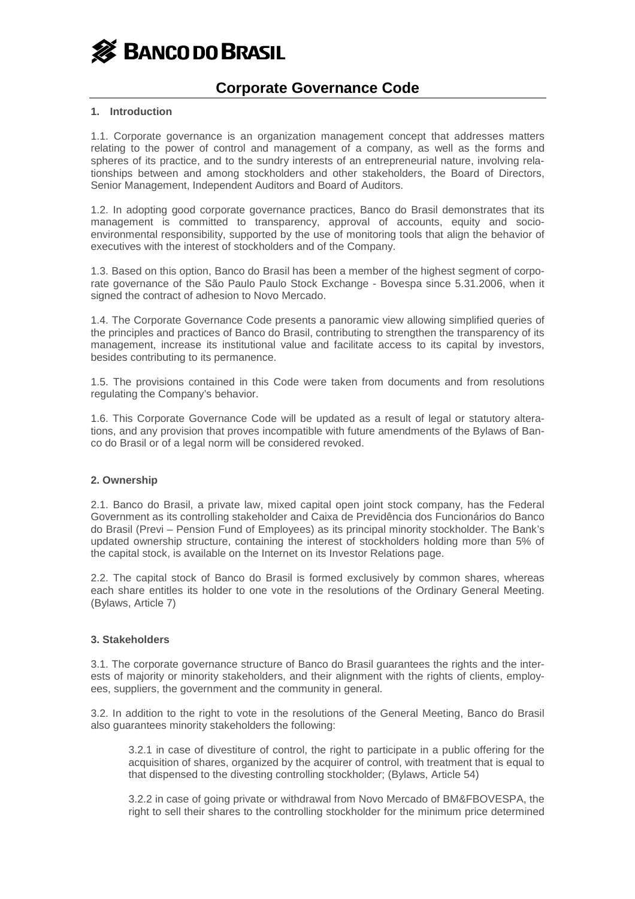

#### **1. Introduction**

1.1. Corporate governance is an organization management concept that addresses matters relating to the power of control and management of a company, as well as the forms and spheres of its practice, and to the sundry interests of an entrepreneurial nature, involving relationships between and among stockholders and other stakeholders, the Board of Directors, Senior Management, Independent Auditors and Board of Auditors.

1.2. In adopting good corporate governance practices, Banco do Brasil demonstrates that its management is committed to transparency, approval of accounts, equity and socioenvironmental responsibility, supported by the use of monitoring tools that align the behavior of executives with the interest of stockholders and of the Company.

1.3. Based on this option, Banco do Brasil has been a member of the highest segment of corporate governance of the São Paulo Paulo Stock Exchange - Bovespa since 5.31.2006, when it signed the contract of adhesion to Novo Mercado.

1.4. The Corporate Governance Code presents a panoramic view allowing simplified queries of the principles and practices of Banco do Brasil, contributing to strengthen the transparency of its management, increase its institutional value and facilitate access to its capital by investors, besides contributing to its permanence.

1.5. The provisions contained in this Code were taken from documents and from resolutions regulating the Company's behavior.

1.6. This Corporate Governance Code will be updated as a result of legal or statutory alterations, and any provision that proves incompatible with future amendments of the Bylaws of Banco do Brasil or of a legal norm will be considered revoked.

#### **2. Ownership**

2.1. Banco do Brasil, a private law, mixed capital open joint stock company, has the Federal Government as its controlling stakeholder and Caixa de Previdência dos Funcionários do Banco do Brasil (Previ – Pension Fund of Employees) as its principal minority stockholder. The Bank's updated ownership structure, containing the interest of stockholders holding more than 5% of the capital stock, is available on the Internet on its Investor Relations page.

2.2. The capital stock of Banco do Brasil is formed exclusively by common shares, whereas each share entitles its holder to one vote in the resolutions of the Ordinary General Meeting. (Bylaws, Article 7)

#### **3. Stakeholders**

3.1. The corporate governance structure of Banco do Brasil guarantees the rights and the interests of majority or minority stakeholders, and their alignment with the rights of clients, employees, suppliers, the government and the community in general.

3.2. In addition to the right to vote in the resolutions of the General Meeting, Banco do Brasil also guarantees minority stakeholders the following:

3.2.1 in case of divestiture of control, the right to participate in a public offering for the acquisition of shares, organized by the acquirer of control, with treatment that is equal to that dispensed to the divesting controlling stockholder; (Bylaws, Article 54)

3.2.2 in case of going private or withdrawal from Novo Mercado of BM&FBOVESPA, the right to sell their shares to the controlling stockholder for the minimum price determined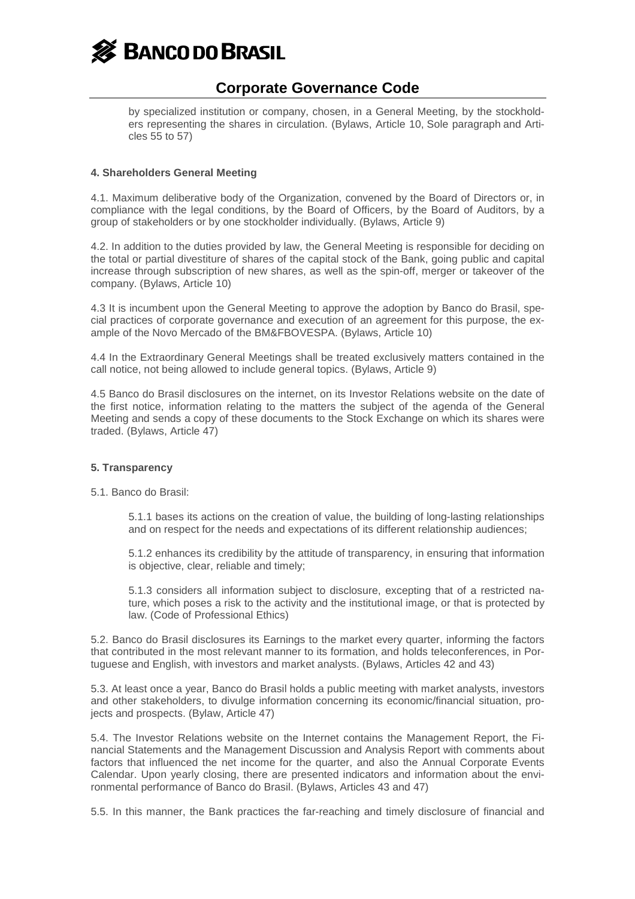

by specialized institution or company, chosen, in a General Meeting, by the stockholders representing the shares in circulation. (Bylaws, Article 10, Sole paragraph and Articles 55 to 57)

#### **4. Shareholders General Meeting**

4.1. Maximum deliberative body of the Organization, convened by the Board of Directors or, in compliance with the legal conditions, by the Board of Officers, by the Board of Auditors, by a group of stakeholders or by one stockholder individually. (Bylaws, Article 9)

4.2. In addition to the duties provided by law, the General Meeting is responsible for deciding on the total or partial divestiture of shares of the capital stock of the Bank, going public and capital increase through subscription of new shares, as well as the spin-off, merger or takeover of the company. (Bylaws, Article 10)

4.3 It is incumbent upon the General Meeting to approve the adoption by Banco do Brasil, special practices of corporate governance and execution of an agreement for this purpose, the example of the Novo Mercado of the BM&FBOVESPA. (Bylaws, Article 10)

4.4 In the Extraordinary General Meetings shall be treated exclusively matters contained in the call notice, not being allowed to include general topics. (Bylaws, Article 9)

4.5 Banco do Brasil disclosures on the internet, on its Investor Relations website on the date of the first notice, information relating to the matters the subject of the agenda of the General Meeting and sends a copy of these documents to the Stock Exchange on which its shares were traded. (Bylaws, Article 47)

#### **5. Transparency**

5.1. Banco do Brasil:

5.1.1 bases its actions on the creation of value, the building of long-lasting relationships and on respect for the needs and expectations of its different relationship audiences;

5.1.2 enhances its credibility by the attitude of transparency, in ensuring that information is objective, clear, reliable and timely;

5.1.3 considers all information subject to disclosure, excepting that of a restricted nature, which poses a risk to the activity and the institutional image, or that is protected by law. (Code of Professional Ethics)

5.2. Banco do Brasil disclosures its Earnings to the market every quarter, informing the factors that contributed in the most relevant manner to its formation, and holds teleconferences, in Portuguese and English, with investors and market analysts. (Bylaws, Articles 42 and 43)

5.3. At least once a year, Banco do Brasil holds a public meeting with market analysts, investors and other stakeholders, to divulge information concerning its economic/financial situation, projects and prospects. (Bylaw, Article 47)

5.4. The Investor Relations website on the Internet contains the Management Report, the Financial Statements and the Management Discussion and Analysis Report with comments about factors that influenced the net income for the quarter, and also the Annual Corporate Events Calendar. Upon yearly closing, there are presented indicators and information about the environmental performance of Banco do Brasil. (Bylaws, Articles 43 and 47)

5.5. In this manner, the Bank practices the far-reaching and timely disclosure of financial and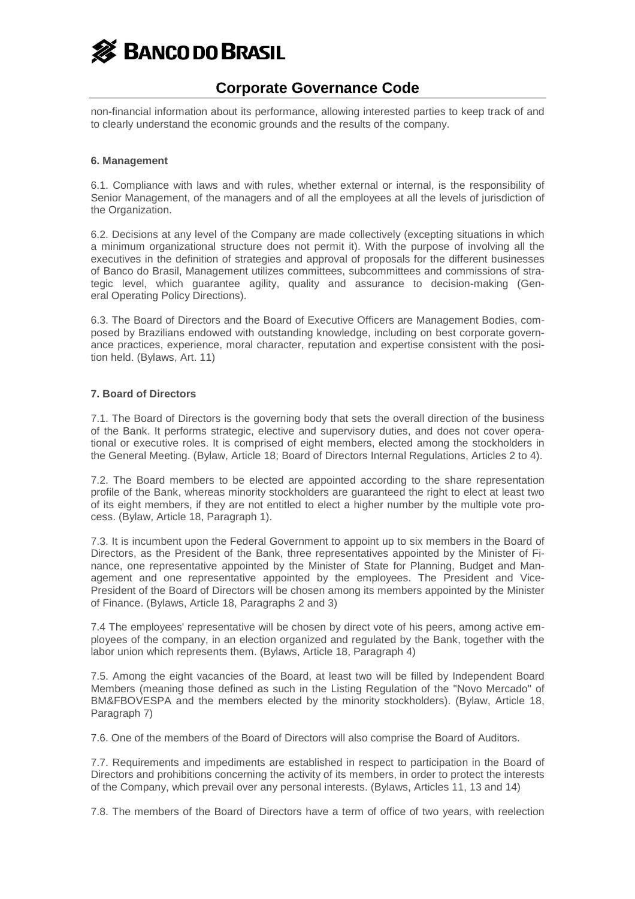

non-financial information about its performance, allowing interested parties to keep track of and to clearly understand the economic grounds and the results of the company.

#### **6. Management**

6.1. Compliance with laws and with rules, whether external or internal, is the responsibility of Senior Management, of the managers and of all the employees at all the levels of jurisdiction of the Organization.

6.2. Decisions at any level of the Company are made collectively (excepting situations in which a minimum organizational structure does not permit it). With the purpose of involving all the executives in the definition of strategies and approval of proposals for the different businesses of Banco do Brasil, Management utilizes committees, subcommittees and commissions of strategic level, which guarantee agility, quality and assurance to decision-making (General Operating Policy Directions).

6.3. The Board of Directors and the Board of Executive Officers are Management Bodies, composed by Brazilians endowed with outstanding knowledge, including on best corporate governance practices, experience, moral character, reputation and expertise consistent with the position held. (Bylaws, Art. 11)

## **7. Board of Directors**

7.1. The Board of Directors is the governing body that sets the overall direction of the business of the Bank. It performs strategic, elective and supervisory duties, and does not cover operational or executive roles. It is comprised of eight members, elected among the stockholders in the General Meeting. (Bylaw, Article 18; Board of Directors Internal Regulations, Articles 2 to 4).

7.2. The Board members to be elected are appointed according to the share representation profile of the Bank, whereas minority stockholders are guaranteed the right to elect at least two of its eight members, if they are not entitled to elect a higher number by the multiple vote process. (Bylaw, Article 18, Paragraph 1).

7.3. It is incumbent upon the Federal Government to appoint up to six members in the Board of Directors, as the President of the Bank, three representatives appointed by the Minister of Finance, one representative appointed by the Minister of State for Planning, Budget and Management and one representative appointed by the employees. The President and Vice-President of the Board of Directors will be chosen among its members appointed by the Minister of Finance. (Bylaws, Article 18, Paragraphs 2 and 3)

7.4 The employees' representative will be chosen by direct vote of his peers, among active employees of the company, in an election organized and regulated by the Bank, together with the labor union which represents them. (Bylaws, Article 18, Paragraph 4)

7.5. Among the eight vacancies of the Board, at least two will be filled by Independent Board Members (meaning those defined as such in the Listing Regulation of the "Novo Mercado" of BM&FBOVESPA and the members elected by the minority stockholders). (Bylaw, Article 18, Paragraph 7)

7.6. One of the members of the Board of Directors will also comprise the Board of Auditors.

7.7. Requirements and impediments are established in respect to participation in the Board of Directors and prohibitions concerning the activity of its members, in order to protect the interests of the Company, which prevail over any personal interests. (Bylaws, Articles 11, 13 and 14)

7.8. The members of the Board of Directors have a term of office of two years, with reelection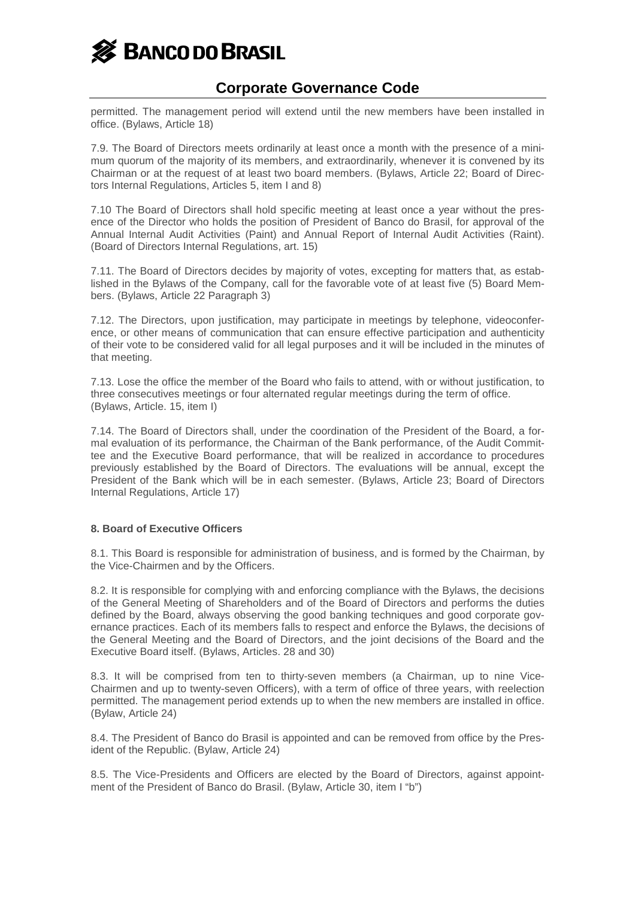

permitted. The management period will extend until the new members have been installed in office. (Bylaws, Article 18)

7.9. The Board of Directors meets ordinarily at least once a month with the presence of a minimum quorum of the majority of its members, and extraordinarily, whenever it is convened by its Chairman or at the request of at least two board members. (Bylaws, Article 22; Board of Directors Internal Regulations, Articles 5, item I and 8)

7.10 The Board of Directors shall hold specific meeting at least once a year without the presence of the Director who holds the position of President of Banco do Brasil, for approval of the Annual Internal Audit Activities (Paint) and Annual Report of Internal Audit Activities (Raint). (Board of Directors Internal Regulations, art. 15)

7.11. The Board of Directors decides by majority of votes, excepting for matters that, as established in the Bylaws of the Company, call for the favorable vote of at least five (5) Board Members. (Bylaws, Article 22 Paragraph 3)

7.12. The Directors, upon justification, may participate in meetings by telephone, videoconference, or other means of communication that can ensure effective participation and authenticity of their vote to be considered valid for all legal purposes and it will be included in the minutes of that meeting.

7.13. Lose the office the member of the Board who fails to attend, with or without justification, to three consecutives meetings or four alternated regular meetings during the term of office. (Bylaws, Article. 15, item I)

7.14. The Board of Directors shall, under the coordination of the President of the Board, a formal evaluation of its performance, the Chairman of the Bank performance, of the Audit Committee and the Executive Board performance, that will be realized in accordance to procedures previously established by the Board of Directors. The evaluations will be annual, except the President of the Bank which will be in each semester. (Bylaws, Article 23; Board of Directors Internal Regulations, Article 17)

#### **8. Board of Executive Officers**

8.1. This Board is responsible for administration of business, and is formed by the Chairman, by the Vice-Chairmen and by the Officers.

8.2. It is responsible for complying with and enforcing compliance with the Bylaws, the decisions of the General Meeting of Shareholders and of the Board of Directors and performs the duties defined by the Board, always observing the good banking techniques and good corporate governance practices. Each of its members falls to respect and enforce the Bylaws, the decisions of the General Meeting and the Board of Directors, and the joint decisions of the Board and the Executive Board itself. (Bylaws, Articles. 28 and 30)

8.3. It will be comprised from ten to thirty-seven members (a Chairman, up to nine Vice-Chairmen and up to twenty-seven Officers), with a term of office of three years, with reelection permitted. The management period extends up to when the new members are installed in office. (Bylaw, Article 24)

8.4. The President of Banco do Brasil is appointed and can be removed from office by the President of the Republic. (Bylaw, Article 24)

8.5. The Vice-Presidents and Officers are elected by the Board of Directors, against appointment of the President of Banco do Brasil. (Bylaw, Article 30, item I "b")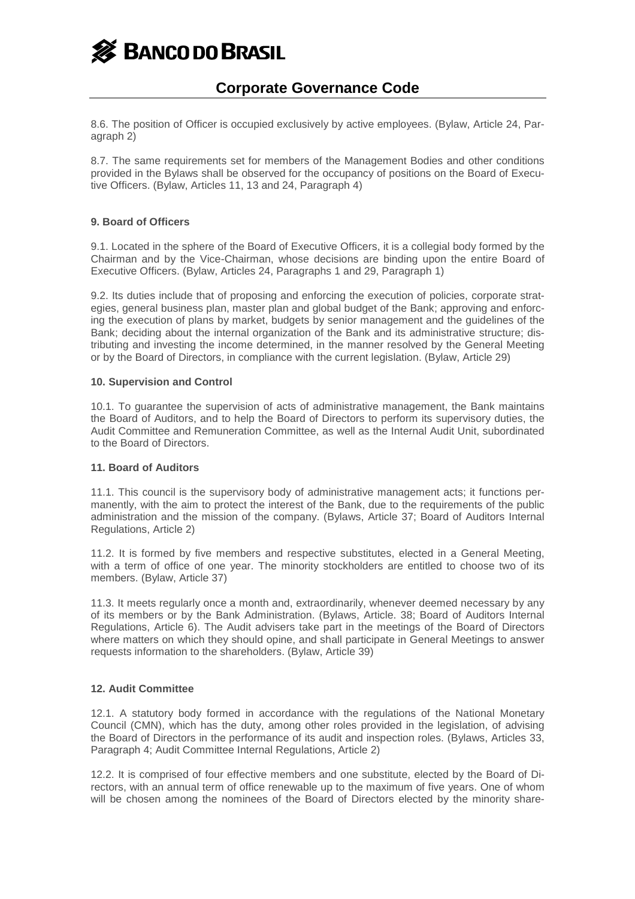

8.6. The position of Officer is occupied exclusively by active employees. (Bylaw, Article 24, Paragraph 2)

8.7. The same requirements set for members of the Management Bodies and other conditions provided in the Bylaws shall be observed for the occupancy of positions on the Board of Executive Officers. (Bylaw, Articles 11, 13 and 24, Paragraph 4)

## **9. Board of Officers**

9.1. Located in the sphere of the Board of Executive Officers, it is a collegial body formed by the Chairman and by the Vice-Chairman, whose decisions are binding upon the entire Board of Executive Officers. (Bylaw, Articles 24, Paragraphs 1 and 29, Paragraph 1)

9.2. Its duties include that of proposing and enforcing the execution of policies, corporate strategies, general business plan, master plan and global budget of the Bank; approving and enforcing the execution of plans by market, budgets by senior management and the guidelines of the Bank; deciding about the internal organization of the Bank and its administrative structure; distributing and investing the income determined, in the manner resolved by the General Meeting or by the Board of Directors, in compliance with the current legislation. (Bylaw, Article 29)

#### **10. Supervision and Control**

10.1. To guarantee the supervision of acts of administrative management, the Bank maintains the Board of Auditors, and to help the Board of Directors to perform its supervisory duties, the Audit Committee and Remuneration Committee, as well as the Internal Audit Unit, subordinated to the Board of Directors.

#### **11. Board of Auditors**

11.1. This council is the supervisory body of administrative management acts; it functions permanently, with the aim to protect the interest of the Bank, due to the requirements of the public administration and the mission of the company. (Bylaws, Article 37; Board of Auditors Internal Regulations, Article 2)

11.2. It is formed by five members and respective substitutes, elected in a General Meeting, with a term of office of one year. The minority stockholders are entitled to choose two of its members. (Bylaw, Article 37)

11.3. It meets regularly once a month and, extraordinarily, whenever deemed necessary by any of its members or by the Bank Administration. (Bylaws, Article. 38; Board of Auditors Internal Regulations, Article 6). The Audit advisers take part in the meetings of the Board of Directors where matters on which they should opine, and shall participate in General Meetings to answer requests information to the shareholders. (Bylaw, Article 39)

#### **12. Audit Committee**

12.1. A statutory body formed in accordance with the regulations of the National Monetary Council (CMN), which has the duty, among other roles provided in the legislation, of advising the Board of Directors in the performance of its audit and inspection roles. (Bylaws, Articles 33, Paragraph 4; Audit Committee Internal Regulations, Article 2)

12.2. It is comprised of four effective members and one substitute, elected by the Board of Directors, with an annual term of office renewable up to the maximum of five years. One of whom will be chosen among the nominees of the Board of Directors elected by the minority share-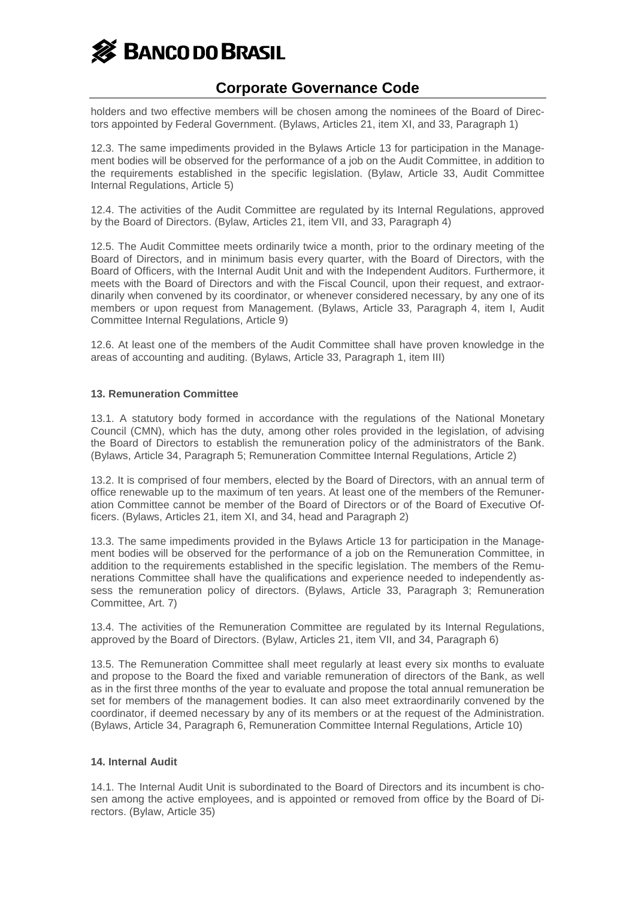

holders and two effective members will be chosen among the nominees of the Board of Directors appointed by Federal Government. (Bylaws, Articles 21, item XI, and 33, Paragraph 1)

12.3. The same impediments provided in the Bylaws Article 13 for participation in the Management bodies will be observed for the performance of a job on the Audit Committee, in addition to the requirements established in the specific legislation. (Bylaw, Article 33, Audit Committee Internal Regulations, Article 5)

12.4. The activities of the Audit Committee are regulated by its Internal Regulations, approved by the Board of Directors. (Bylaw, Articles 21, item VII, and 33, Paragraph 4)

12.5. The Audit Committee meets ordinarily twice a month, prior to the ordinary meeting of the Board of Directors, and in minimum basis every quarter, with the Board of Directors, with the Board of Officers, with the Internal Audit Unit and with the Independent Auditors. Furthermore, it meets with the Board of Directors and with the Fiscal Council, upon their request, and extraordinarily when convened by its coordinator, or whenever considered necessary, by any one of its members or upon request from Management. (Bylaws, Article 33, Paragraph 4, item I, Audit Committee Internal Regulations, Article 9)

12.6. At least one of the members of the Audit Committee shall have proven knowledge in the areas of accounting and auditing. (Bylaws, Article 33, Paragraph 1, item III)

## **13. Remuneration Committee**

13.1. A statutory body formed in accordance with the regulations of the National Monetary Council (CMN), which has the duty, among other roles provided in the legislation, of advising the Board of Directors to establish the remuneration policy of the administrators of the Bank. (Bylaws, Article 34, Paragraph 5; Remuneration Committee Internal Regulations, Article 2)

13.2. It is comprised of four members, elected by the Board of Directors, with an annual term of office renewable up to the maximum of ten years. At least one of the members of the Remuneration Committee cannot be member of the Board of Directors or of the Board of Executive Officers. (Bylaws, Articles 21, item XI, and 34, head and Paragraph 2)

13.3. The same impediments provided in the Bylaws Article 13 for participation in the Management bodies will be observed for the performance of a job on the Remuneration Committee, in addition to the requirements established in the specific legislation. The members of the Remunerations Committee shall have the qualifications and experience needed to independently assess the remuneration policy of directors. (Bylaws, Article 33, Paragraph 3; Remuneration Committee, Art. 7)

13.4. The activities of the Remuneration Committee are regulated by its Internal Regulations, approved by the Board of Directors. (Bylaw, Articles 21, item VII, and 34, Paragraph 6)

13.5. The Remuneration Committee shall meet regularly at least every six months to evaluate and propose to the Board the fixed and variable remuneration of directors of the Bank, as well as in the first three months of the year to evaluate and propose the total annual remuneration be set for members of the management bodies. It can also meet extraordinarily convened by the coordinator, if deemed necessary by any of its members or at the request of the Administration. (Bylaws, Article 34, Paragraph 6, Remuneration Committee Internal Regulations, Article 10)

#### **14. Internal Audit**

14.1. The Internal Audit Unit is subordinated to the Board of Directors and its incumbent is chosen among the active employees, and is appointed or removed from office by the Board of Directors. (Bylaw, Article 35)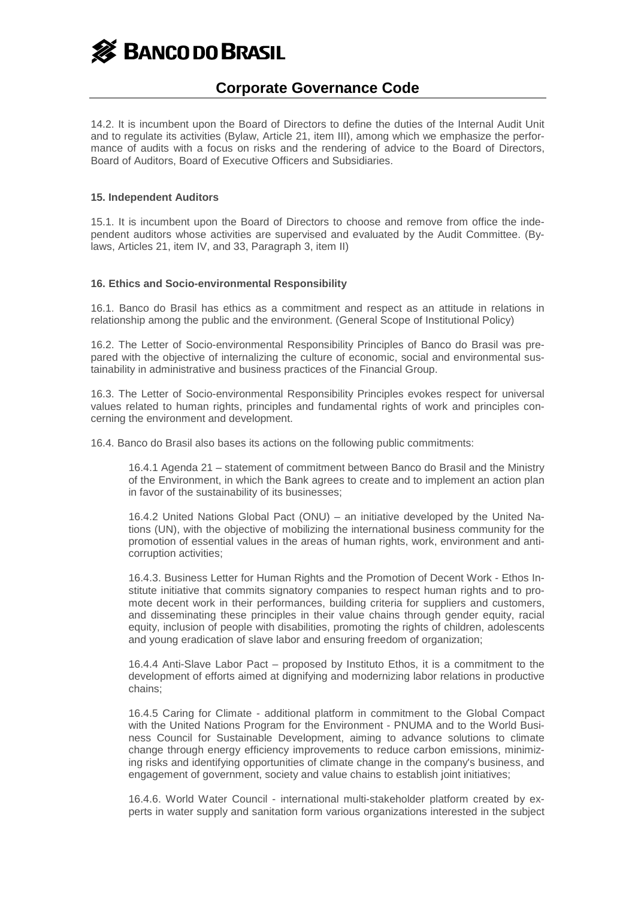**S** BANCO DO BRASIL

## **Corporate Governance Code**

14.2. It is incumbent upon the Board of Directors to define the duties of the Internal Audit Unit and to regulate its activities (Bylaw, Article 21, item III), among which we emphasize the performance of audits with a focus on risks and the rendering of advice to the Board of Directors, Board of Auditors, Board of Executive Officers and Subsidiaries.

## **15. Independent Auditors**

15.1. It is incumbent upon the Board of Directors to choose and remove from office the independent auditors whose activities are supervised and evaluated by the Audit Committee. (Bylaws, Articles 21, item IV, and 33, Paragraph 3, item II)

## **16. Ethics and Socio-environmental Responsibility**

16.1. Banco do Brasil has ethics as a commitment and respect as an attitude in relations in relationship among the public and the environment. (General Scope of Institutional Policy)

16.2. The Letter of Socio-environmental Responsibility Principles of Banco do Brasil was prepared with the objective of internalizing the culture of economic, social and environmental sustainability in administrative and business practices of the Financial Group.

16.3. The Letter of Socio-environmental Responsibility Principles evokes respect for universal values related to human rights, principles and fundamental rights of work and principles concerning the environment and development.

16.4. Banco do Brasil also bases its actions on the following public commitments:

16.4.1 Agenda 21 – statement of commitment between Banco do Brasil and the Ministry of the Environment, in which the Bank agrees to create and to implement an action plan in favor of the sustainability of its businesses;

16.4.2 United Nations Global Pact (ONU) – an initiative developed by the United Nations (UN), with the objective of mobilizing the international business community for the promotion of essential values in the areas of human rights, work, environment and anticorruption activities;

16.4.3. Business Letter for Human Rights and the Promotion of Decent Work - Ethos Institute initiative that commits signatory companies to respect human rights and to promote decent work in their performances, building criteria for suppliers and customers, and disseminating these principles in their value chains through gender equity, racial equity, inclusion of people with disabilities, promoting the rights of children, adolescents and young eradication of slave labor and ensuring freedom of organization;

16.4.4 Anti-Slave Labor Pact – proposed by Instituto Ethos, it is a commitment to the development of efforts aimed at dignifying and modernizing labor relations in productive chains;

16.4.5 Caring for Climate - additional platform in commitment to the Global Compact with the United Nations Program for the Environment - PNUMA and to the World Business Council for Sustainable Development, aiming to advance solutions to climate change through energy efficiency improvements to reduce carbon emissions, minimizing risks and identifying opportunities of climate change in the company's business, and engagement of government, society and value chains to establish joint initiatives;

16.4.6. World Water Council - international multi-stakeholder platform created by experts in water supply and sanitation form various organizations interested in the subject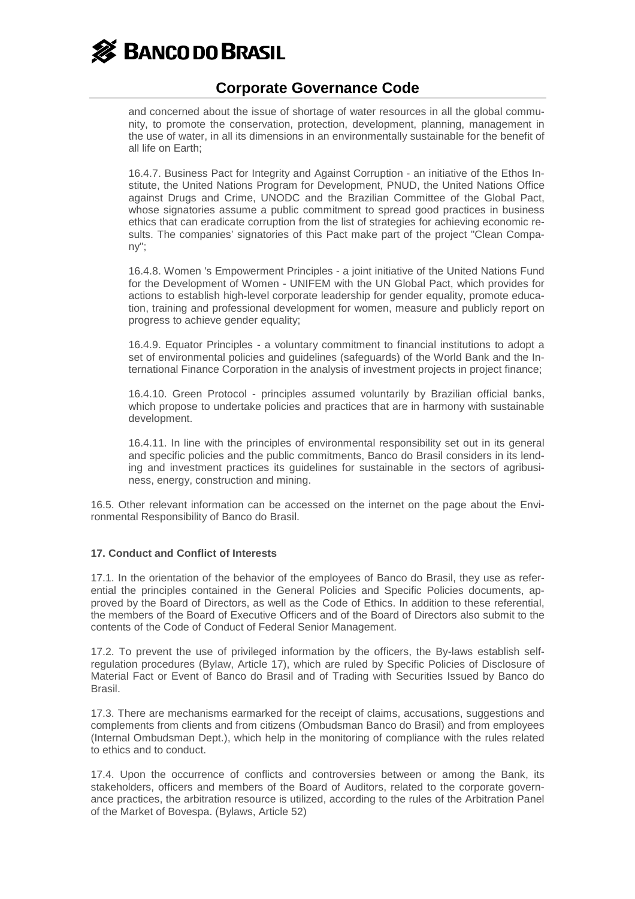

and concerned about the issue of shortage of water resources in all the global community, to promote the conservation, protection, development, planning, management in the use of water, in all its dimensions in an environmentally sustainable for the benefit of all life on Earth;

16.4.7. Business Pact for Integrity and Against Corruption - an initiative of the Ethos Institute, the United Nations Program for Development, PNUD, the United Nations Office against Drugs and Crime, UNODC and the Brazilian Committee of the Global Pact, whose signatories assume a public commitment to spread good practices in business ethics that can eradicate corruption from the list of strategies for achieving economic results. The companies' signatories of this Pact make part of the project "Clean Company";

16.4.8. Women 's Empowerment Principles - a joint initiative of the United Nations Fund for the Development of Women - UNIFEM with the UN Global Pact, which provides for actions to establish high-level corporate leadership for gender equality, promote education, training and professional development for women, measure and publicly report on progress to achieve gender equality;

16.4.9. Equator Principles - a voluntary commitment to financial institutions to adopt a set of environmental policies and guidelines (safeguards) of the World Bank and the International Finance Corporation in the analysis of investment projects in project finance;

16.4.10. Green Protocol - principles assumed voluntarily by Brazilian official banks, which propose to undertake policies and practices that are in harmony with sustainable development.

16.4.11. In line with the principles of environmental responsibility set out in its general and specific policies and the public commitments, Banco do Brasil considers in its lending and investment practices its guidelines for sustainable in the sectors of agribusiness, energy, construction and mining.

16.5. Other relevant information can be accessed on the internet on the page about the Environmental Responsibility of Banco do Brasil.

#### **17. Conduct and Conflict of Interests**

17.1. In the orientation of the behavior of the employees of Banco do Brasil, they use as referential the principles contained in the General Policies and Specific Policies documents, approved by the Board of Directors, as well as the Code of Ethics. In addition to these referential, the members of the Board of Executive Officers and of the Board of Directors also submit to the contents of the Code of Conduct of Federal Senior Management.

17.2. To prevent the use of privileged information by the officers, the By-laws establish selfregulation procedures (Bylaw, Article 17), which are ruled by Specific Policies of Disclosure of Material Fact or Event of Banco do Brasil and of Trading with Securities Issued by Banco do Brasil.

17.3. There are mechanisms earmarked for the receipt of claims, accusations, suggestions and complements from clients and from citizens (Ombudsman Banco do Brasil) and from employees (Internal Ombudsman Dept.), which help in the monitoring of compliance with the rules related to ethics and to conduct.

17.4. Upon the occurrence of conflicts and controversies between or among the Bank, its stakeholders, officers and members of the Board of Auditors, related to the corporate governance practices, the arbitration resource is utilized, according to the rules of the Arbitration Panel of the Market of Bovespa. (Bylaws, Article 52)